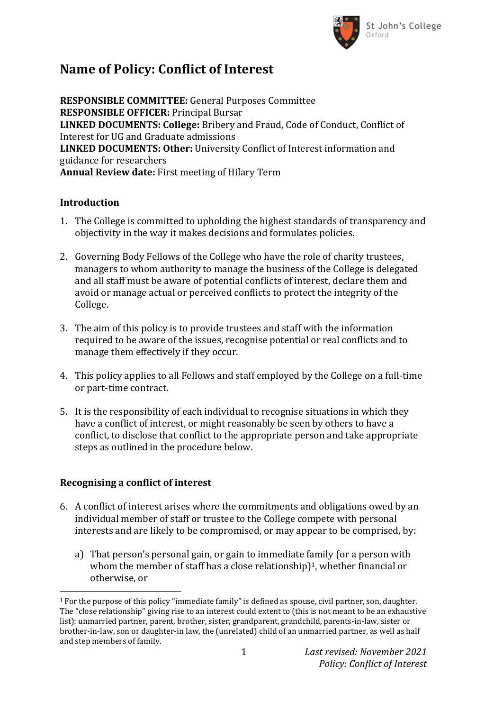

# **Name of Policy: Conflict of Interest**

**RESPONSIBLE COMMITTEE:** General Purposes Committee **RESPONSIBLE OFFICER:** Principal Bursar **LINKED DOCUMENTS: College:** Bribery and Fraud, Code of Conduct, Conflict of Interest for UG and Graduate admissions **LINKED DOCUMENTS: Other:** University Conflict of Interest information and guidance for researchers **Annual Review date:** First meeting of Hilary Term

### **Introduction**

- 1. The College is committed to upholding the highest standards of transparency and objectivity in the way it makes decisions and formulates policies.
- 2. Governing Body Fellows of the College who have the role of charity trustees, managers to whom authority to manage the business of the College is delegated and all staff must be aware of potential conflicts of interest, declare them and avoid or manage actual or perceived conflicts to protect the integrity of the College.
- 3. The aim of this policy is to provide trustees and staff with the information required to be aware of the issues, recognise potential or real conflicts and to manage them effectively if they occur.
- 4. This policy applies to all Fellows and staff employed by the College on a full-time or part-time contract.
- 5. It is the responsibility of each individual to recognise situations in which they have a conflict of interest, or might reasonably be seen by others to have a conflict, to disclose that conflict to the appropriate person and take appropriate steps as outlined in the procedure below.

## **Recognising a conflict of interest**

 $\overline{a}$ 

- 6. A conflict of interest arises where the commitments and obligations owed by an individual member of staff or trustee to the College compete with personal interests and are likely to be compromised, or may appear to be comprised, by:
	- a) That person's personal gain, or gain to immediate family (or a person with whom the member of staff has a close relationship)<sup>1</sup>, whether financial or otherwise, or

<sup>1</sup> For the purpose of this policy "immediate family" is defined as spouse, civil partner, son, daughter. The "close relationship" giving rise to an interest could extent to (this is not meant to be an exhaustive list): unmarried partner, parent, brother, sister, grandparent, grandchild, parents-in-law, sister or brother-in-law, son or daughter-in law, the (unrelated) child of an unmarried partner, as well as half and step members of family.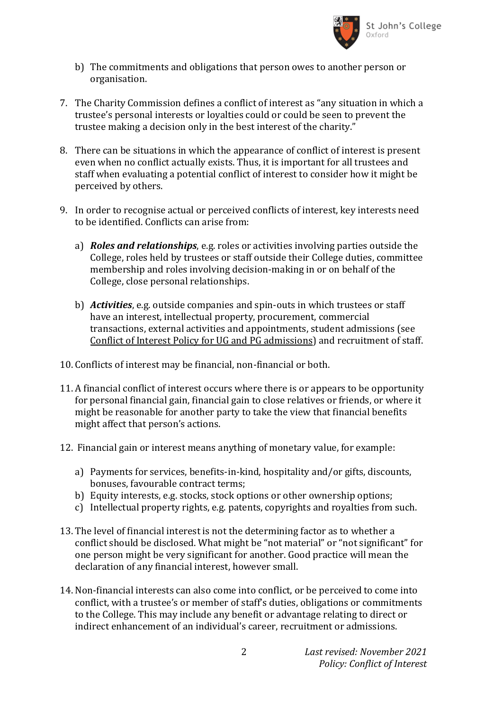

- b) The commitments and obligations that person owes to another person or organisation.
- 7. The Charity Commission defines a conflict of interest as "any situation in which a trustee's personal interests or loyalties could or could be seen to prevent the trustee making a decision only in the best interest of the charity."
- 8. There can be situations in which the appearance of conflict of interest is present even when no conflict actually exists. Thus, it is important for all trustees and staff when evaluating a potential conflict of interest to consider how it might be perceived by others.
- 9. In order to recognise actual or perceived conflicts of interest, key interests need to be identified. Conflicts can arise from:
	- a) *Roles and relationships*, e.g. roles or activities involving parties outside the College, roles held by trustees or staff outside their College duties, committee membership and roles involving decision-making in or on behalf of the College, close personal relationships.
	- b) *Activities*, e.g. outside companies and spin-outs in which trustees or staff have an interest, intellectual property, procurement, commercial transactions, external activities and appointments, student admissions (see Conflict of Interest Policy for UG and PG admissions) and recruitment of staff.
- 10. Conflicts of interest may be financial, non-financial or both.
- 11. A financial conflict of interest occurs where there is or appears to be opportunity for personal financial gain, financial gain to close relatives or friends, or where it might be reasonable for another party to take the view that financial benefits might affect that person's actions.
- 12. Financial gain or interest means anything of monetary value, for example:
	- a) Payments for services, benefits-in-kind, hospitality and/or gifts, discounts, bonuses, favourable contract terms;
	- b) Equity interests, e.g. stocks, stock options or other ownership options;
	- c) Intellectual property rights, e.g. patents, copyrights and royalties from such.
- 13. The level of financial interest is not the determining factor as to whether a conflict should be disclosed. What might be "not material" or "not significant" for one person might be very significant for another. Good practice will mean the declaration of any financial interest, however small.
- 14. Non-financial interests can also come into conflict, or be perceived to come into conflict, with a trustee's or member of staff's duties, obligations or commitments to the College. This may include any benefit or advantage relating to direct or indirect enhancement of an individual's career, recruitment or admissions.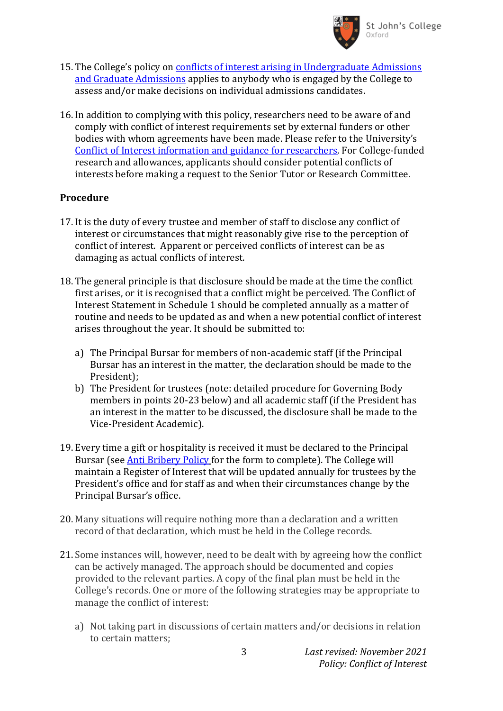

- 15. The College's policy on [conflicts of interest arising in Undergraduate Admissions](https://www.sjc.ox.ac.uk/discover/about-college/legal/college-policies/)  [and Graduate Admissions](https://www.sjc.ox.ac.uk/discover/about-college/legal/college-policies/) applies to anybody who is engaged by the College to assess and/or make decisions on individual admissions candidates.
- 16. In addition to complying with this policy, researchers need to be aware of and comply with conflict of interest requirements set by external funders or other bodies with whom agreements have been made. Please refer to the University's [Conflict of Interest information and guidance for researchers.](https://researchsupport.admin.ox.ac.uk/governance/integrity/conflict#/) For College-funded research and allowances, applicants should consider potential conflicts of interests before making a request to the Senior Tutor or Research Committee.

#### **Procedure**

- 17. It is the duty of every trustee and member of staff to disclose any conflict of interest or circumstances that might reasonably give rise to the perception of conflict of interest. Apparent or perceived conflicts of interest can be as damaging as actual conflicts of interest.
- 18. The general principle is that disclosure should be made at the time the conflict first arises, or it is recognised that a conflict might be perceived. The Conflict of Interest Statement in Schedule 1 should be completed annually as a matter of routine and needs to be updated as and when a new potential conflict of interest arises throughout the year. It should be submitted to:
	- a) The Principal Bursar for members of non-academic staff (if the Principal Bursar has an interest in the matter, the declaration should be made to the President);
	- b) The President for trustees (note: detailed procedure for Governing Body members in points 20-23 below) and all academic staff (if the President has an interest in the matter to be discussed, the disclosure shall be made to the Vice-President Academic).
- 19. Every time a gift or hospitality is received it must be declared to the Principal Bursar (see **Anti Bribery Policy** for the form to complete). The College will maintain a Register of Interest that will be updated annually for trustees by the President's office and for staff as and when their circumstances change by the Principal Bursar's office.
- 20. Many situations will require nothing more than a declaration and a written record of that declaration, which must be held in the College records.
- 21. Some instances will, however, need to be dealt with by agreeing how the conflict can be actively managed. The approach should be documented and copies provided to the relevant parties. A copy of the final plan must be held in the College's records. One or more of the following strategies may be appropriate to manage the conflict of interest:
	- a) Not taking part in discussions of certain matters and/or decisions in relation to certain matters;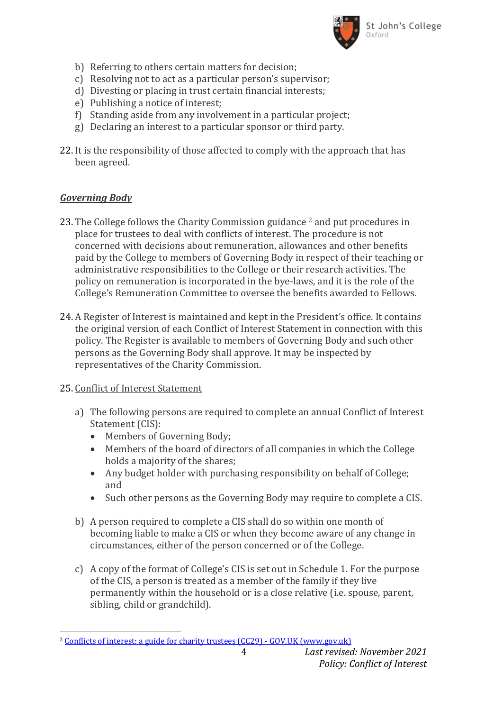

- b) Referring to others certain matters for decision;
- c) Resolving not to act as a particular person's supervisor;
- d) Divesting or placing in trust certain financial interests;
- e) Publishing a notice of interest;
- f) Standing aside from any involvement in a particular project;
- g) Declaring an interest to a particular sponsor or third party.
- 22. It is the responsibility of those affected to comply with the approach that has been agreed.

### *Governing Body*

- 23. The College follows the Charity Commission guidance <sup>2</sup> and put procedures in place for trustees to deal with conflicts of interest. The procedure is not concerned with decisions about remuneration, allowances and other benefits paid by the College to members of Governing Body in respect of their teaching or administrative responsibilities to the College or their research activities. The policy on remuneration is incorporated in the bye-laws, and it is the role of the College's Remuneration Committee to oversee the benefits awarded to Fellows.
- 24. A Register of Interest is maintained and kept in the President's office. It contains the original version of each Conflict of Interest Statement in connection with this policy. The Register is available to members of Governing Body and such other persons as the Governing Body shall approve. It may be inspected by representatives of the Charity Commission.

#### 25. Conflict of Interest Statement

 $\overline{a}$ 

- a) The following persons are required to complete an annual Conflict of Interest Statement (CIS):
	- Members of Governing Body;
	- Members of the board of directors of all companies in which the College holds a majority of the shares;
	- Any budget holder with purchasing responsibility on behalf of College; and
	- Such other persons as the Governing Body may require to complete a CIS.
- b) A person required to complete a CIS shall do so within one month of becoming liable to make a CIS or when they become aware of any change in circumstances, either of the person concerned or of the College.
- c) A copy of the format of College's CIS is set out in Schedule 1. For the purpose of the CIS, a person is treated as a member of the family if they live permanently within the household or is a close relative (i.e. spouse, parent, sibling, child or grandchild).

<sup>&</sup>lt;sup>2</sup> [Conflicts of interest: a guide for charity trustees \(CC29\) -](https://www.gov.uk/government/publications/conflicts-of-interest-a-guide-for-charity-trustees-cc29) GOV.UK (www.gov.uk)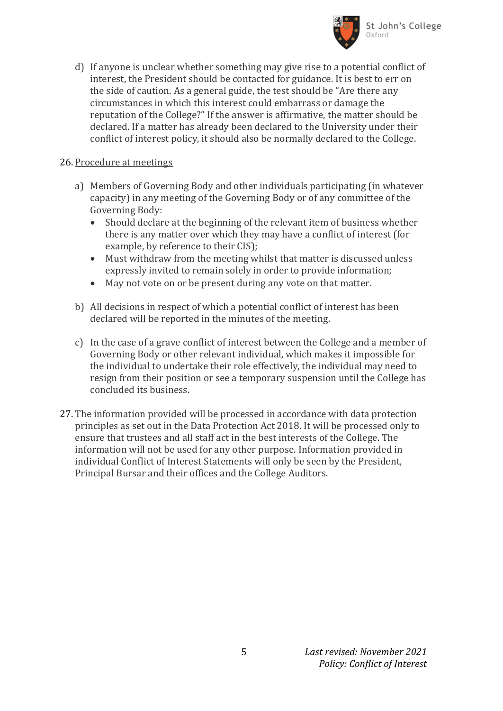

d) If anyone is unclear whether something may give rise to a potential conflict of interest, the President should be contacted for guidance. It is best to err on the side of caution. As a general guide, the test should be "Are there any circumstances in which this interest could embarrass or damage the reputation of the College?" If the answer is affirmative, the matter should be declared. If a matter has already been declared to the University under their conflict of interest policy, it should also be normally declared to the College.

#### 26. Procedure at meetings

- a) Members of Governing Body and other individuals participating (in whatever capacity) in any meeting of the Governing Body or of any committee of the Governing Body:
	- Should declare at the beginning of the relevant item of business whether there is any matter over which they may have a conflict of interest (for example, by reference to their CIS);
	- Must withdraw from the meeting whilst that matter is discussed unless expressly invited to remain solely in order to provide information;
	- May not vote on or be present during any vote on that matter.
- b) All decisions in respect of which a potential conflict of interest has been declared will be reported in the minutes of the meeting.
- c) In the case of a grave conflict of interest between the College and a member of Governing Body or other relevant individual, which makes it impossible for the individual to undertake their role effectively, the individual may need to resign from their position or see a temporary suspension until the College has concluded its business.
- 27. The information provided will be processed in accordance with data protection principles as set out in the Data Protection Act 2018. It will be processed only to ensure that trustees and all staff act in the best interests of the College. The information will not be used for any other purpose. Information provided in individual Conflict of Interest Statements will only be seen by the President, Principal Bursar and their offices and the College Auditors.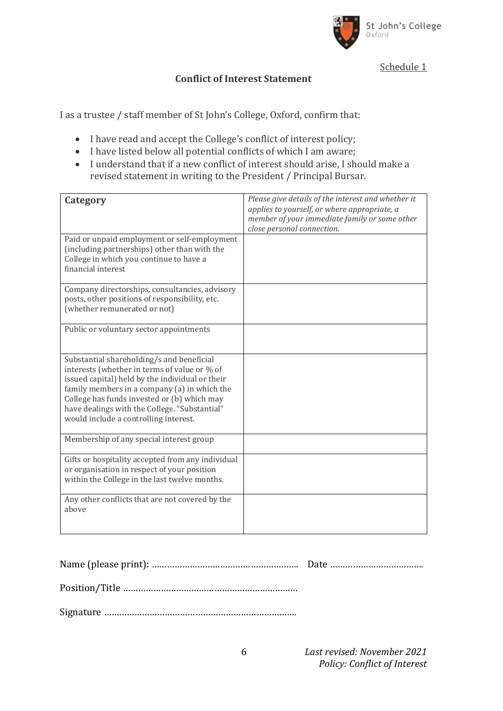

Schedule 1

### **Conflict of Interest Statement**

I as a trustee / staff member of St John's College, Oxford, confirm that:

- I have read and accept the College's conflict of interest policy;
- I have listed below all potential conflicts of which I am aware;
- I understand that if a new conflict of interest should arise, I should make a revised statement in writing to the President / Principal Bursar.

| Category                                                                                                                                                                                                                                                                                                                              | Please give details of the interest and whether it<br>applies to yourself, or where appropriate, a<br>member of your immediate family or some other<br>close personal connection. |
|---------------------------------------------------------------------------------------------------------------------------------------------------------------------------------------------------------------------------------------------------------------------------------------------------------------------------------------|-----------------------------------------------------------------------------------------------------------------------------------------------------------------------------------|
| Paid or unpaid employment or self-employment<br>(including partnerships) other than with the<br>College in which you continue to have a<br>financial interest                                                                                                                                                                         |                                                                                                                                                                                   |
| Company directorships, consultancies, advisory<br>posts, other positions of responsibility, etc.<br>(whether remunerated or not)                                                                                                                                                                                                      |                                                                                                                                                                                   |
| Public or voluntary sector appointments                                                                                                                                                                                                                                                                                               |                                                                                                                                                                                   |
| Substantial shareholding/s and beneficial<br>interests (whether in terms of value or % of<br>issued capital) held by the individual or their<br>family members in a company (a) in which the<br>College has funds invested or (b) which may<br>have dealings with the College. "Substantial"<br>would include a controlling interest. |                                                                                                                                                                                   |
| Membership of any special interest group                                                                                                                                                                                                                                                                                              |                                                                                                                                                                                   |
| Gifts or hospitality accepted from any individual<br>or organisation in respect of your position<br>within the College in the last twelve months.                                                                                                                                                                                     |                                                                                                                                                                                   |
| Any other conflicts that are not covered by the<br>above                                                                                                                                                                                                                                                                              |                                                                                                                                                                                   |